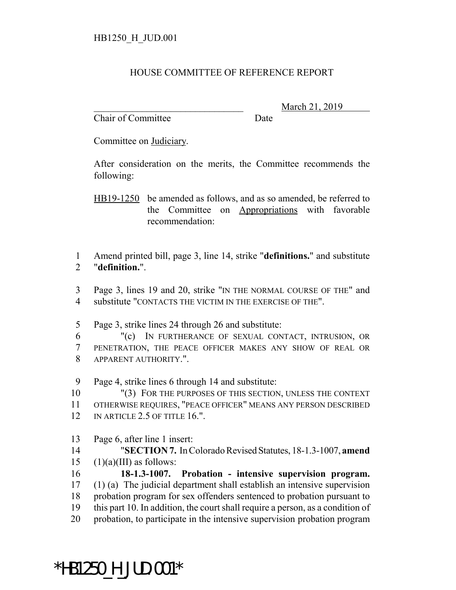## HOUSE COMMITTEE OF REFERENCE REPORT

Chair of Committee Date

\_\_\_\_\_\_\_\_\_\_\_\_\_\_\_\_\_\_\_\_\_\_\_\_\_\_\_\_\_\_\_ March 21, 2019

Committee on Judiciary.

After consideration on the merits, the Committee recommends the following:

HB19-1250 be amended as follows, and as so amended, be referred to the Committee on Appropriations with favorable recommendation:

1 Amend printed bill, page 3, line 14, strike "**definitions.**" and substitute 2 "**definition.**".

3 Page 3, lines 19 and 20, strike "IN THE NORMAL COURSE OF THE" and 4 substitute "CONTACTS THE VICTIM IN THE EXERCISE OF THE".

- 5 Page 3, strike lines 24 through 26 and substitute:
- 6 "(c) IN FURTHERANCE OF SEXUAL CONTACT, INTRUSION, OR 7 PENETRATION, THE PEACE OFFICER MAKES ANY SHOW OF REAL OR 8 APPARENT AUTHORITY.".

9 Page 4, strike lines 6 through 14 and substitute:

10 "(3) FOR THE PURPOSES OF THIS SECTION, UNLESS THE CONTEXT 11 OTHERWISE REQUIRES, "PEACE OFFICER" MEANS ANY PERSON DESCRIBED

- 12 IN ARTICLE 2.5 OF TITLE 16.".
- 13 Page 6, after line 1 insert:

14 "**SECTION 7.** In Colorado Revised Statutes, 18-1.3-1007, **amend** 15  $(1)(a)(III)$  as follows:

 **18-1.3-1007. Probation - intensive supervision program.** (1) (a) The judicial department shall establish an intensive supervision probation program for sex offenders sentenced to probation pursuant to this part 10. In addition, the court shall require a person, as a condition of probation, to participate in the intensive supervision probation program

## \*HB1250\_H\_JUD.001\*